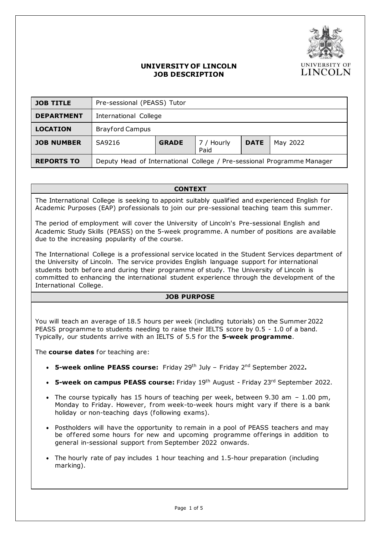

## **UNIVERSITY OF LINCOLN JOB DESCRIPTION**

| <b>JOB TITLE</b>  | Pre-sessional (PEASS) Tutor                                            |              |                    |             |          |
|-------------------|------------------------------------------------------------------------|--------------|--------------------|-------------|----------|
| <b>DEPARTMENT</b> | International College                                                  |              |                    |             |          |
| <b>LOCATION</b>   | <b>Brayford Campus</b>                                                 |              |                    |             |          |
| <b>JOB NUMBER</b> | SA9216                                                                 | <b>GRADE</b> | 7 / Hourly<br>Paid | <b>DATE</b> | May 2022 |
| <b>REPORTS TO</b> | Deputy Head of International College / Pre-sessional Programme Manager |              |                    |             |          |

**CONTEXT**

The International College is seeking to appoint suitably qualified and experienced English for Academic Purposes (EAP) professionals to join our pre-sessional teaching team this summer.

The period of employment will cover the University of Lincoln's Pre-sessional English and Academic Study Skills (PEASS) on the 5-week programme. A number of positions are available due to the increasing popularity of the course.

The International College is a professional service located in the Student Services department of the University of Lincoln. The service provides English language support for international students both before and during their programme of study. The University of Lincoln is committed to enhancing the international student experience through the development of the International College.

# **JOB PURPOSE**

You will teach an average of 18.5 hours per week (including tutorials) on the Summer 2022 PEASS programme to students needing to raise their IELTS score by 0.5 - 1.0 of a band. Typically, our students arrive with an IELTS of 5.5 for the **5-week programme**.

The **course dates** for teaching are:

- **5-week online PEASS course:** Friday 29th July Friday 2 nd September 2022**.**
- **5-week on campus PEASS course:** Friday 19th August Friday 23rd September 2022.
- The course typically has 15 hours of teaching per week, between  $9.30$  am  $-1.00$  pm, Monday to Friday. However, from week-to-week hours might vary if there is a bank holiday or non-teaching days (following exams).
- Postholders will have the opportunity to remain in a pool of PEASS teachers and may be offered some hours for new and upcoming programme offerings in addition to general in-sessional support from September 2022 onwards.
- The hourly rate of pay includes 1 hour teaching and 1.5-hour preparation (including marking).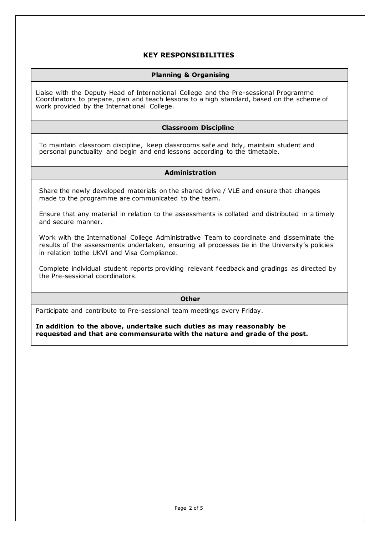# **KEY RESPONSIBILITIES**

## **Planning & Organising**

Liaise with the Deputy Head of International College and the Pre-sessional Programme Coordinators to prepare, plan and teach lessons to a high standard, based on the scheme of work provided by the International College.

## **Classroom Discipline**

To maintain classroom discipline, keep classrooms safe and tidy, maintain student and personal punctuality and begin and end lessons according to the timetable.

#### **Administration**

Share the newly developed materials on the shared drive / VLE and ensure that changes made to the programme are communicated to the team.

Ensure that any material in relation to the assessments is collated and distributed in a timely and secure manner.

Work with the International College Administrative Team to coordinate and disseminate the results of the assessments undertaken, ensuring all processes tie in the University's policies in relation tothe UKVI and Visa Compliance.

Complete individual student reports providing relevant feedback and gradings as directed by the Pre-sessional coordinators.

#### **Other**

Participate and contribute to Pre-sessional team meetings every Friday.

**In addition to the above, undertake such duties as may reasonably be requested and that are commensurate with the nature and grade of the post.**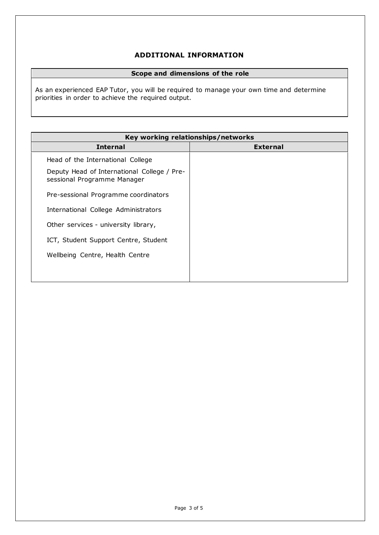# **ADDITIONAL INFORMATION**

## **Scope and dimensions of the role**

As an experienced EAP Tutor, you will be required to manage your own time and determine priorities in order to achieve the required output.

| Key working relationships/networks                                         |                 |  |  |
|----------------------------------------------------------------------------|-----------------|--|--|
| <b>Internal</b>                                                            | <b>External</b> |  |  |
| Head of the International College                                          |                 |  |  |
| Deputy Head of International College / Pre-<br>sessional Programme Manager |                 |  |  |
| Pre-sessional Programme coordinators                                       |                 |  |  |
| International College Administrators                                       |                 |  |  |
| Other services - university library,                                       |                 |  |  |
| ICT, Student Support Centre, Student                                       |                 |  |  |
| Wellbeing Centre, Health Centre                                            |                 |  |  |
|                                                                            |                 |  |  |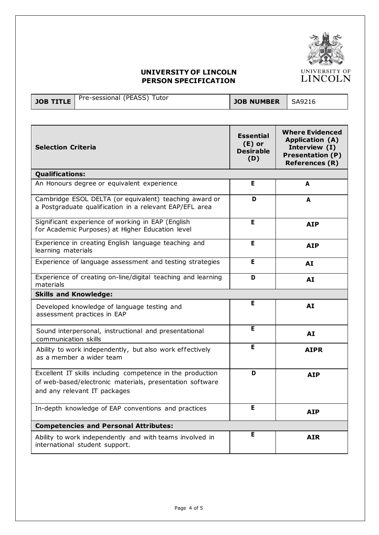

# **UNIVERSITY OF LINCOLN PERSON SPECIFICATION**

| JOB TITLE   Pre-sessional (PEASS) Tutor | JOB NUMBER   SA9216 |  |
|-----------------------------------------|---------------------|--|

| <b>Selection Criteria</b>                                                                                                                              | <b>Essential</b><br>$(E)$ or<br><b>Desirable</b><br>(D) | <b>Where Evidenced</b><br><b>Application (A)</b><br>Interview (I)<br><b>Presentation (P)</b><br><b>References (R)</b> |  |
|--------------------------------------------------------------------------------------------------------------------------------------------------------|---------------------------------------------------------|-----------------------------------------------------------------------------------------------------------------------|--|
| <b>Qualifications:</b>                                                                                                                                 |                                                         |                                                                                                                       |  |
| An Honours degree or equivalent experience                                                                                                             | E                                                       | A                                                                                                                     |  |
| Cambridge ESOL DELTA (or equivalent) teaching award or<br>a Postgraduate qualification in a relevant EAP/EFL area                                      | D                                                       | A                                                                                                                     |  |
| Significant experience of working in EAP (English<br>for Academic Purposes) at Higher Education level                                                  | Е                                                       | <b>AIP</b>                                                                                                            |  |
| Experience in creating English language teaching and<br>learning materials                                                                             | E                                                       | <b>AIP</b>                                                                                                            |  |
| Experience of language assessment and testing strategies                                                                                               | E                                                       | AI                                                                                                                    |  |
| Experience of creating on-line/digital teaching and learning<br>materials                                                                              | D                                                       | AI                                                                                                                    |  |
| <b>Skills and Knowledge:</b>                                                                                                                           |                                                         |                                                                                                                       |  |
| Developed knowledge of language testing and<br>assessment practices in EAP                                                                             | Е                                                       | AI                                                                                                                    |  |
| Sound interpersonal, instructional and presentational<br>communication skills                                                                          | E                                                       | AI                                                                                                                    |  |
| Ability to work independently, but also work effectively<br>as a member a wider team                                                                   | E                                                       | <b>AIPR</b>                                                                                                           |  |
| Excellent IT skills including competence in the production<br>of web-based/electronic materials, presentation software<br>and any relevant IT packages | D                                                       | AIP                                                                                                                   |  |
| In-depth knowledge of EAP conventions and practices                                                                                                    | E                                                       | <b>AIP</b>                                                                                                            |  |
| <b>Competencies and Personal Attributes:</b>                                                                                                           |                                                         |                                                                                                                       |  |
| Ability to work independently and with teams involved in<br>international student support.                                                             | Е                                                       | <b>AIR</b>                                                                                                            |  |